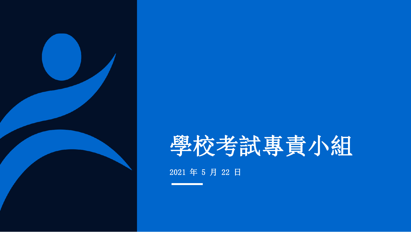

2021 年 5 月 22 日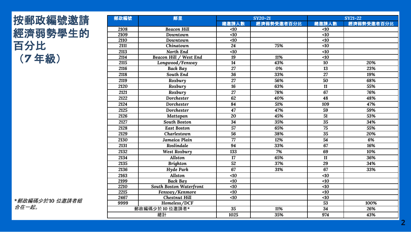## 按郵政編號邀請 經濟弱勢學生的 百分比 (*7* 年級)

| 郵政編號 | 鄰里                      |                   | SY20-21    | $SY21-22$       |            |  |  |
|------|-------------------------|-------------------|------------|-----------------|------------|--|--|
|      |                         | 總邀請人數             | 經濟弱勢受邀者百分比 | 總邀請人數           | 經濟弱勢受邀者百分比 |  |  |
| 2108 | <b>Beacon Hill</b>      | $\leq 10$         |            | $\triangleleft$ |            |  |  |
| 2109 | Downtown                | <10               |            | $\leq 10$       |            |  |  |
| 2110 | Downtown                | <10               |            | $\leq 10$       |            |  |  |
| 2111 | Chinatown               | 24                | 75%        | $\leq 10$       |            |  |  |
| 2113 | North End               | $\triangleleft$ 0 |            | <10             |            |  |  |
| 2114 | Beacon Hill / West End  | 19                | 11%        | $\overline{40}$ |            |  |  |
| 2115 | Longwood/Fenway         | 14                | 43%        | 10              | 20%        |  |  |
| 2116 | <b>Back Bay</b>         | 27                | 0%         | 13              | 23%        |  |  |
| 2118 | South End               | $\overline{36}$   | 33%        | $\overline{27}$ | 19%        |  |  |
| 2119 | Roxbury                 | 27                | 56%        | 50              | 68%        |  |  |
| 2120 | Roxbury                 | 16                | 63%        | 11              | 55%        |  |  |
| 2121 | Roxbury                 | $\overline{27}$   | 78%        | 67              | 76%        |  |  |
| 2122 | Dorchester              | 62                | 40%        | 48              | 48%        |  |  |
| 2124 | Dorchester              | 84                | 51%        | 109             | 47%        |  |  |
| 2125 | Dorchester              | $\overline{47}$   | 47%        | 59              | 59%        |  |  |
| 2126 | Mattapan                | 20                | 45%        | $\overline{51}$ | 53%        |  |  |
| 2127 | <b>South Boston</b>     | 34                | 35%        | 35              | 34%        |  |  |
| 2128 | East Boston             | 57                | 65%        | 75              | 55%        |  |  |
| 2129 | Charlestown             | $\overline{56}$   | 38%        | 35              | 20%        |  |  |
| 2130 | Jamaica Plain           | 77                | 12%        | $\overline{54}$ | 6%         |  |  |
| 2131 | Roslindale              | 94                | 33%        | 67              | 16%        |  |  |
| 2132 | West Roxbury            | 133               | 7%         | 69              | 10%        |  |  |
| 2134 | <b>Allston</b>          | 17                | 65%        | 11              | 36%        |  |  |
| 2135 | <b>Brighton</b>         | 52                | 37%        | 29              | 34%        |  |  |
| 2136 | <b>Hyde Park</b>        | 67                | 31%        | 67              | 33%        |  |  |
| 2163 | Allston                 | $\triangleleft 0$ |            | $\leq 10$       |            |  |  |
| 2199 | Back Bay                | <10               |            | <10             |            |  |  |
| 2210 | South Boston Waterfront | $\triangleleft 0$ |            | <10             |            |  |  |
| 2215 | Fenway/Kenmore          | $\overline{40}$   |            | $\overline{40}$ |            |  |  |
| 2467 | Chestnut Hill           | $\triangleleft 0$ |            | <10             |            |  |  |
| 9999 | Homeless/DCF            |                   |            | 53              | 100%       |  |  |
|      | 郵政編碼少於10位邀請者*           | 35                | 11%        | 34              | 26%        |  |  |
|      | 總計                      | $\frac{1025}{2}$  | 35%        | 974             | 43%        |  |  |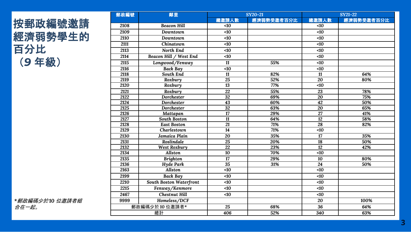## 按郵政編號邀請 經濟弱勢學生的 百分比 (*9* 年級)

| 郵政編號<br>2108<br>2109<br>2110<br>2111<br>2113<br>2114<br>2115<br>2116<br>2118<br>2119<br>2120<br>2121<br>2122<br>2124<br>2125<br>2126<br>2127<br>2128<br>2129<br>2130<br>2131<br>2132<br>2134<br>2135<br>2136<br>2163 | 鄰里                      |                   | SY20-21    | <b>SY21-22</b>  |            |  |  |
|----------------------------------------------------------------------------------------------------------------------------------------------------------------------------------------------------------------------|-------------------------|-------------------|------------|-----------------|------------|--|--|
|                                                                                                                                                                                                                      |                         | 總邀請人數             | 經濟弱勢受邀者百分比 | 總邀請人數           | 經濟弱勢受邀者百分比 |  |  |
|                                                                                                                                                                                                                      | <b>Beacon Hill</b>      | <10               |            | $\triangleleft$ |            |  |  |
|                                                                                                                                                                                                                      | Downtown                | <10               |            | $\triangleleft$ |            |  |  |
|                                                                                                                                                                                                                      | Downtown                | <10               |            | $\triangleleft$ |            |  |  |
|                                                                                                                                                                                                                      | Chinatown               | $\triangleleft 0$ |            | <10             |            |  |  |
|                                                                                                                                                                                                                      | North End               | $\triangleleft$   |            | <10             |            |  |  |
|                                                                                                                                                                                                                      | Beacon Hill / West End  | $\leq 10$         |            | <10             |            |  |  |
|                                                                                                                                                                                                                      | Longwood/Fenway         | 11                | 55%        | <10             |            |  |  |
|                                                                                                                                                                                                                      | Back Bay                | $\leq 10$         |            | <10             |            |  |  |
|                                                                                                                                                                                                                      | South End               | 11                | 82%        | 11              | 64%        |  |  |
|                                                                                                                                                                                                                      | Roxbury                 | 25                | 52%        | 20              | 80%        |  |  |
|                                                                                                                                                                                                                      | Roxbury                 | 13                | 77%        | <10             |            |  |  |
|                                                                                                                                                                                                                      | Roxbury                 | 22                | 55%        | $\overline{23}$ | 78%        |  |  |
|                                                                                                                                                                                                                      | Dorchester              | $\overline{32}$   | 69%        | $\overline{20}$ | 75%        |  |  |
|                                                                                                                                                                                                                      | Dorchester              | 43                | 60%        | 42              | 50%        |  |  |
|                                                                                                                                                                                                                      | Dorchester              | 32                | 63%        | 20              | 65%        |  |  |
|                                                                                                                                                                                                                      | Mattapan                | 17                | 29%        | 27              | 41%        |  |  |
|                                                                                                                                                                                                                      | South Boston            | 11                | 64%        | 12              | 58%        |  |  |
|                                                                                                                                                                                                                      | <b>East Boston</b>      | $\overline{21}$   | 71%        | $\overline{28}$ | 82%        |  |  |
|                                                                                                                                                                                                                      | Charlestown             | $\overline{14}$   | 71%        | $\overline{50}$ |            |  |  |
|                                                                                                                                                                                                                      | Jamaica Plain           | 20                | 35%        | 17              | 35%        |  |  |
|                                                                                                                                                                                                                      | Roslindale              | 25                | 20%        | $\overline{18}$ | 50%        |  |  |
|                                                                                                                                                                                                                      | West Roxbury            | $\overline{22}$   | 23%        | $\overline{12}$ | 42%        |  |  |
|                                                                                                                                                                                                                      | Allston                 | 10                | 70%        | <10             |            |  |  |
|                                                                                                                                                                                                                      | <b>Brighton</b>         | 17                | 29%        | 10              | 80%        |  |  |
|                                                                                                                                                                                                                      | Hyde Park               | 35                | 31%        | 24              | 50%        |  |  |
|                                                                                                                                                                                                                      | Allston                 | $\leq 10$         |            | <10             |            |  |  |
| 2199                                                                                                                                                                                                                 | Back Bay                | $\leq 10$         |            | <10             |            |  |  |
| 2210                                                                                                                                                                                                                 | South Boston Waterfront | $\leq 10$         |            | <10             |            |  |  |
| 2215                                                                                                                                                                                                                 | Fenway/Kenmore          | $\triangleleft$   |            | <10             |            |  |  |
| 2467                                                                                                                                                                                                                 | <b>Chestnut Hill</b>    | <10               |            | <10             |            |  |  |
| 9999                                                                                                                                                                                                                 | Homeless/DCF            |                   |            | 20              | 100%       |  |  |
|                                                                                                                                                                                                                      | 郵政編碼少於10位邀請者*           | 25                | 68%        | 36              | 64%        |  |  |
|                                                                                                                                                                                                                      | 總計                      | 406               | 52%        | 340             | 63%        |  |  |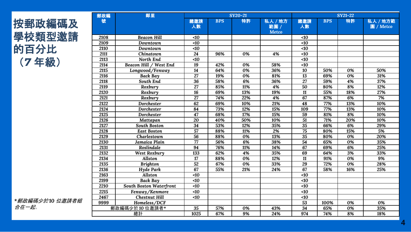| 按郵政編碼及 |  |
|--------|--|
| 學校類型邀請 |  |
| 的百分比   |  |
| (7年級)  |  |

| 郵政編  | 鄰里                      | SY20-21         |            |     | <b>SY21-22</b>                  |                 |            |     |                       |
|------|-------------------------|-----------------|------------|-----|---------------------------------|-----------------|------------|-----|-----------------------|
| 號    |                         | 總邀請<br>人數       | <b>BPS</b> | 特許  | 私人 / 地方<br>範圍 /<br><b>Metco</b> | 總邀請<br>人數       | <b>BPS</b> | 特許  | 私人 / 地方範<br>圍 / Metco |
| 2108 | <b>Beacon Hill</b>      | <10             |            |     |                                 | $\triangleleft$ |            |     |                       |
| 2109 | Downtown                | $\leq 10$       |            |     |                                 | $\triangleleft$ |            |     |                       |
| 2110 | Downtown                | <10             |            |     |                                 | $\triangleleft$ |            |     |                       |
| 2111 | Chinatown               | 24              | 96%        | 0%  | 4%                              | <10             |            |     |                       |
| 2113 | North End               | <10             |            |     |                                 | $\triangleleft$ |            |     |                       |
| 2114 | Beacon Hill / West End  | 19              | 42%        | 0%  | 58%                             | $\triangleleft$ |            |     |                       |
| 2115 | Longwood/Fenway         | 14              | 64%        | 0%  | 36%                             | 10              | 50%        | 0%  | 50%                   |
| 2116 | Back Bay                | 27              | 19%        | 0%  | 81%                             | 13              | 69%        | 0%  | 31%                   |
| 2118 | South End               | 36              | 58%        | 6%  | 36%                             | 27              | 59%        | 4%  | 37%                   |
| 2119 | Roxbury                 | $\overline{27}$ | 85%        | 11% | 4%                              | 50              | 80%        | 8%  | 12%                   |
| 2120 | Roxbury                 | 16              | 69%        | 13% | 19%                             | 11              | 55%        | 18% | 27%                   |
| 2121 | Roxbury                 | 27              | 74%        | 22% | 4%                              | 67              | 87%        | 6%  | 7%                    |
| 2122 | Dorchester              | 62              | 69%        | 10% | 21%                             | 48              | 77%        | 13% | 10%                   |
| 2124 | Dorchester              | $\overline{84}$ | 73%        | 12% | 15%                             | 109             | 77%        | 13% | 10%                   |
| 2125 | Dorchester              | 47              | 68%        | 17% | 15%                             | 59              | 81%        | 8%  | 10%                   |
| 2126 | Mattapan                | 20              | 40%        | 50% | 10%                             | $\overline{51}$ | 71%        | 20% | 10%                   |
| 2127 | <b>South Boston</b>     | $\overline{34}$ | 53%        | 12% | 35%                             | $\overline{35}$ | 66%        | 6%  | 29%                   |
| 2128 | <b>East Boston</b>      | 57              | 88%        | 11% | 2%                              | 75              | 80%        | 15% | 5%                    |
| 2129 | Charlestown             | 56              | 88%        | 0%  | 13%                             | 35              | 80%        | 0%  | 20%                   |
| 2130 | Jamaica Plain           | 77              | 56%        | 6%  | 38%                             | 54              | 65%        | 0%  | 35%                   |
| 2131 | Roslindale              | 94              | 76%        | 11% | 14%                             | 67              | 69%        | 6%  | 25%                   |
| 2132 | West Roxbury            | 133             | 62%        | 4%  | 35%                             | 69              | 64%        | 3%  | 33%                   |
| 2134 | <b>Allston</b>          | 17              | 88%        | 0%  | 12%                             | 11              | 91%        | 0%  | 9%                    |
| 2135 | <b>Brighton</b>         | 52              | 67%        | 0%  | 33%                             | 29              | 72%        | 0%  | 28%                   |
| 2136 | Hyde Park               | 67              | 55%        | 21% | 24%                             | 67              | 58%        | 16% | 25%                   |
| 2163 | Allston                 | <10             |            |     |                                 | $\triangleleft$ |            |     |                       |
| 2199 | Back Bay                | <10             |            |     |                                 | <10             |            |     |                       |
| 2210 | South Boston Waterfront | $\leq 10$       |            |     |                                 | $\triangleleft$ |            |     |                       |
| 2215 | Fenway/Kenmore          | <10             |            |     |                                 | <10             |            |     |                       |
| 2467 | <b>Chestnut Hill</b>    | <10             |            |     |                                 | $\triangleleft$ |            |     |                       |
| 9999 | Homeless/DCF            |                 |            |     |                                 | 53              | 100%       | 0%  | 0%                    |
|      | 郵政編碼少於10位邀請者*           | 35              | 57%        | 0%  | 43%                             | 34              | 65%        | 0%  | 35%                   |
|      | 總計                      | 1025            | 67%        | 9%  | 24%                             | 974             | 74%        | 8%  | 18%                   |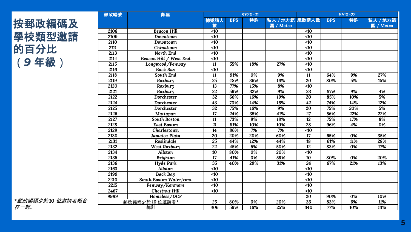# 按郵政編碼及 學校類型邀請 的百分比 (*9* 年級)

| 2108<br><b>Beacon Hill</b>             | 總邀請人<br>數       | <b>BPS</b> | 特許  | 私人 / 地方範 總邀請人數 |                 | <b>BPS</b> | 特許  |                       |
|----------------------------------------|-----------------|------------|-----|----------------|-----------------|------------|-----|-----------------------|
|                                        |                 |            |     | 圖 / Metco      |                 |            |     | 私人 / 地方範<br>圖 / Metco |
|                                        | $\triangleleft$ |            |     |                | $\triangleleft$ |            |     |                       |
| 2109<br>Downtown                       | $\triangleleft$ |            |     |                | $\leq 10$       |            |     |                       |
| 2110<br>Downtown                       | $\triangleleft$ |            |     |                | $\leq 10$       |            |     |                       |
| Chinatown<br>2111                      | $\triangleleft$ |            |     |                | $\leq 10$       |            |     |                       |
| 2113<br>North End                      | $\triangleleft$ |            |     |                | $\leq 10$       |            |     |                       |
| 2114<br>Beacon Hill / West End         | $\leq 10$       |            |     |                | $\leq 10$       |            |     |                       |
| 2115<br>Longwood/Fenway                | 11              | 55%        | 18% | 27%            | <10             |            |     |                       |
| 2116<br>Back Bay                       | $\leq 10$       |            |     |                | $\leq 10$       |            |     |                       |
| 2118<br>South End                      | 11              | 91%        | 0%  | 9%             | 11              | 64%        | 9%  | 27%                   |
| 2119<br>Roxbury                        | 25              | 48%        | 36% | 16%            | 20              | 80%        | 5%  | 15%                   |
| 2120<br>Roxbury                        | 13              | 77%        | 15% | 8%             | $\leq 10$       |            |     |                       |
| 2121<br>Roxbury                        | $\overline{22}$ | 59%        | 32% | 9%             | $\overline{23}$ | 87%        | 9%  | 4%                    |
| 2122<br><b>Dorchester</b>              | 32              | 66%        | 16% | 19%            | 20              | 85%        | 10% | 5%                    |
| 2124<br>Dorchester                     | 43              | 70%        | 14% | 16%            | 42              | 74%        | 14% | 12%                   |
| 2125<br>Dorchester                     | $\overline{32}$ | 75%        | 16% | 9%             | 20              | 75%        | 20% | 5%                    |
| 2126<br>Mattapan                       | 17              | 24%        | 35% | 41%            | 27              | 56%        | 22% | 22%                   |
| 2127<br>South Boston                   | 11              | 73%        | 9%  | 18%            | 12              | 75%        | 17% | 8%                    |
| 2128<br><b>East Boston</b>             | $\overline{21}$ | 81%        | 10% | 10%            | $\overline{28}$ | 96%        | 4%  | 0%                    |
| 2129<br>Charlestown                    | 14              | 86%        | 7%  | 7%             | <10             |            |     |                       |
| 2130<br>Jamaica Plain                  | 20              | 20%        | 20% | 60%            | 17              | 65%        | 0%  | 35%                   |
| 2131<br>Roslindale                     | 25              | 44%        | 12% | 44%            | 18              | 61%        | 11% | 28%                   |
| 2132<br>West Roxbury                   | $\overline{22}$ | 45%        | 5%  | 50%            | 12              | 83%        | 0%  | 17%                   |
| 2134<br><b>Allston</b>                 | 10              | 80%        | 0%  | 20%            | $\leq 10$       |            |     |                       |
| 2135<br><b>Brighton</b>                | 17              | 41%        | 0%  | 59%            | 10              | 80%        | 0%  | 20%                   |
| 2136<br>Hyde Park                      | $\overline{35}$ | 40%        | 29% | 31%            | $\overline{24}$ | 67%        | 21% | 13%                   |
| 2163<br>Allston                        | $\leq 10$       |            |     |                | $\leq 10$       |            |     |                       |
| 2199<br><b>Back Bay</b>                | $\leq 10$       |            |     |                | $\leq 10$       |            |     |                       |
| 2210<br><b>South Boston Waterfront</b> | $\leq 10$       |            |     |                | $\leq 10$       |            |     |                       |
| 2215<br>Fenway/Kenmore                 | $\leq 10$       |            |     |                | $\leq 10$       |            |     |                       |
| 2467<br>Chestnut Hill                  | <10             |            |     |                | $\leq 10$       |            |     |                       |
| 9999<br>Homeless/DCF                   |                 |            |     |                | 20              | 90%        | 0%  | 10%                   |
| 郵政編碼少於10位邀請者*                          | 25              | 80%        | 0%  | 20%            | 36              | 83%        | 6%  | 11%                   |
| 總計                                     | 406             | 59%        | 16% | 25%            | 340             | 77%        | 10% | 13%                   |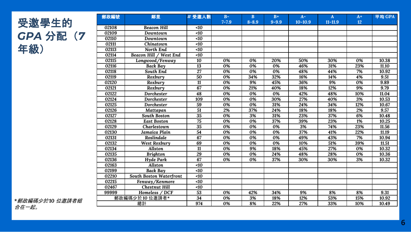## 受邀學生的 *GPA* 分配(*7*  年級)

| 郵政編號  | 鄰里                      | #受邀人數           | $B -$     | $\mathbf{B}$ | $B+$      | $A-$        | $\mathbf{A}$ | $A+$ | 平均 GPA |
|-------|-------------------------|-----------------|-----------|--------------|-----------|-------------|--------------|------|--------|
|       |                         |                 | $7 - 7.9$ | $8 - 8.9$    | $9 - 9.9$ | $10 - 10.9$ | $11 - 11.9$  | 12   |        |
| 02108 | <b>Beacon Hill</b>      | $\triangleleft$ |           |              |           |             |              |      |        |
| 02109 | Downtown                | $\triangleleft$ |           |              |           |             |              |      |        |
| 02110 | Downtown                | $\triangleleft$ |           |              |           |             |              |      |        |
| 02111 | Chinatown               | $\triangleleft$ |           |              |           |             |              |      |        |
| 02113 | North End               | $\triangleleft$ |           |              |           |             |              |      |        |
| 02114 | Beacon Hill / West End  | $\triangleleft$ |           |              |           |             |              |      |        |
| 02115 | Longwood/Fenway         | 10              | 0%        | 0%           | 20%       | 50%         | 30%          | 0%   | 10.38  |
| 02116 | Back Bay                | $\overline{13}$ | 0%        | 0%           | 0%        | 46%         | 31%          | 23%  | 11.10  |
| 02118 | South End               | 27              | 0%        | 0%           | 0%        | 48%         | 44%          | 7%   | 10.92  |
| 02119 | Roxbury                 | 50              | 0%        | 34%          | 32%       | 16%         | 14%          | 4%   | 9.51   |
| 02120 | Roxbury                 | 11              | 0%        | 9%           | 45%       | 36%         | 9%           | 0%   | 9.89   |
| 02121 | Roxbury                 | 67              | 0%        | 21%          | 40%       | 18%         | 12%          | 9%   | 9.79   |
| 02122 | Dorchester              | 48              | 0%        | 0%           | 0%        | 42%         | 48%          | 10%  | 11.04  |
| 02124 | Dorchester              | 109             | 0%        | 0%           | 30%       | 27%         | 40%          | 3%   | 10.53  |
| 02125 | Dorchester              | 59              | 0%        | 0%           | 31%       | 24%         | 34%          | 12%  | 10.67  |
| 02126 | Mattapan                | $\overline{51}$ | 2%        | 37%          | 24%       | 18%         | 18%          | 2%   | 9.57   |
| 02127 | <b>South Boston</b>     | 35              | 0%        | 3%           | 31%       | 23%         | 37%          | 6%   | 10.48  |
| 02128 | <b>East Boston</b>      | 75              | 0%        | 0%           | 37%       | 39%         | 23%          | 1%   | 10.25  |
| 02129 | Charlestown             | $\overline{35}$ | 0%        | 0%           | 0%        | 3%          | 74%          | 23%  | 11.56  |
| 02130 | Jamaica Plain           | 54              | 0%        | 0%           | 0%        | 37%         | 41%          | 22%  | 11.19  |
| 02131 | Roslindale              | 67              | 0%        | 0%           | 0%        | 49%         | 43%          | 7%   | 10.94  |
| 02132 | West Roxbury            | 69              | 0%        | 0%           | 0%        | 10%         | 51%          | 39%  | 11.51  |
| 02134 | <b>Allston</b>          | 11              | 0%        | 9%           | 18%       | 45%         | 27%          | 0%   | 10.32  |
| 02135 | <b>Brighton</b>         | 29              | 0%        | 0%           | 24%       | 48%         | 28%          | 0%   | 10.36  |
| 02136 | Hyde Park               | 67              | 0%        | 0%           | 37%       | 30%         | 30%          | 3%   | 10.32  |
| 02163 | Allston                 | <10             |           |              |           |             |              |      |        |
| 02199 | <b>Back Bay</b>         | $\triangleleft$ |           |              |           |             |              |      |        |
| 02210 | South Boston Waterfront | $\leq 10$       |           |              |           |             |              |      |        |
| 02215 | Fenway/Kenmore          | $\overline{40}$ |           |              |           |             |              |      |        |
| 02467 | Chestnut Hill           | $\leq 10$       |           |              |           |             |              |      |        |
| 99999 | Homeless / DCF          | 53              | 0%        | 42%          | 34%       | 9%          | 8%           | 8%   | 9.31   |
|       | 郵政編碼少於10位邀請者*           | $\overline{34}$ | 0%        | 3%           | 18%       | 12%         | 53%          | 15%  | 10.92  |
|       | 總計                      | 974             | 0%        | 8%           | 22%       | 27%         | 33%          | 10%  | 10.49  |